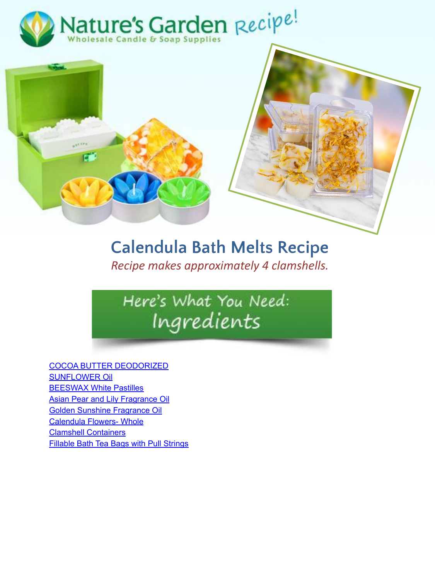



## **Calendula Bath Melts Recipe**

*Recipe makes approximately 4 clamshells.* 

## Here's What You Need: Ingredients

[COCOA BUTTER DEODORIZED](https://www.naturesgardencandles.com/cocoa-butter-deodorized) [SUNFLOWER Oil](https://www.naturesgardencandles.com/sunflower-oil) [BEESWAX White Pastilles](https://www.naturesgardencandles.com/beeswax-white-pastilles) [Asian Pear and Lily Fragrance Oil](https://www.naturesgardencandles.com/asian-pear-lily-fragrance-oil) [Golden Sunshine Fragrance Oil](https://www.naturesgardencandles.com/golden-sunshine-fragrance-oil) [Calendula Flowers- Whole](https://www.naturesgardencandles.com/calendula-flowers-whole.html) [Clamshell Containers](https://www.naturesgardencandles.com/wholesale-clamshell-containers) [Fillable Bath Tea Bags with Pull Strings](https://www.naturesgardencandles.com/fillable-bath-tea-bags-with-pull-strings)